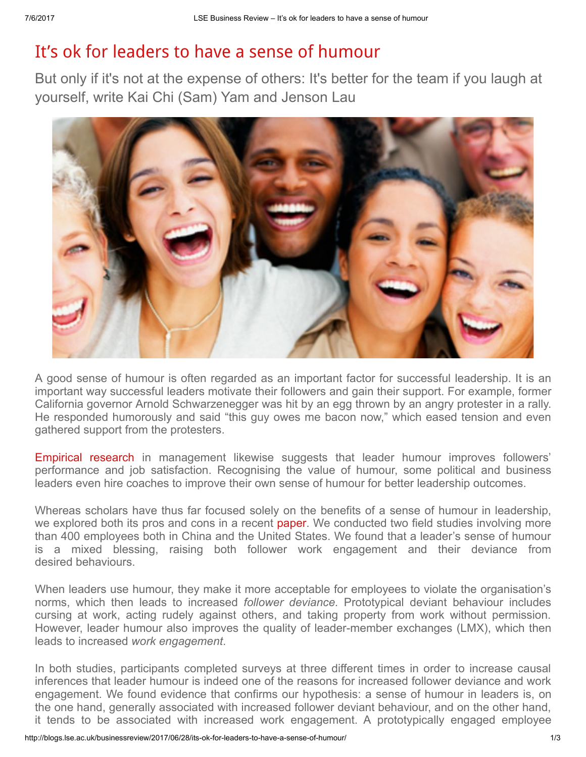## It's ok for leaders to have a sense of humour

But only if it's not at the expense of others: It's better for the team if you laugh at yourself, write Kai Chi (Sam) Yam and Jenson Lau



A good sense of humour is often regarded as an important factor for successful leadership. It is an important way successful leaders motivate their followers and gain their support. For example, former California governor Arnold Schwarzenegger was hit by an egg thrown by an angry protester in a rally. He responded humorously and said "this guy owes me bacon now," which eased tension and even gathered support from the protesters.

[Empirical](http://amj.aom.org/content/42/2/219.short) research in management likewise suggests that leader humour improves followers' performance and job satisfaction. Recognising the value of humour, some political and business leaders even hire coaches to improve their own sense of humour for better leadership outcomes.

Whereas scholars have thus far focused solely on the benefits of a sense of humour in leadership, we explored both its pros and cons in a recent [paper](http://amj.aom.org/content/early/2017/04/18/amj.2015.1088.short). We conducted two field studies involving more than 400 employees both in China and the United States. We found that a leader's sense of humour is a mixed blessing, raising both follower work engagement and their deviance from desired behaviours.

When leaders use humour, they make it more acceptable for employees to violate the organisation's norms, which then leads to increased *follower deviance*. Prototypical deviant behaviour includes cursing at work, acting rudely against others, and taking property from work without permission. However, leader humour also improves the quality of leader-member exchanges (LMX), which then leads to increased work engagement.

In both studies, participants completed surveys at three different times in order to increase causal inferences that leader humour is indeed one of the reasons for increased follower deviance and work engagement. We found evidence that confirms our hypothesis: a sense of humour in leaders is, on the one hand, generally associated with increased follower deviant behaviour, and on the other hand, it tends to be associated with increased work engagement. A prototypically engaged employee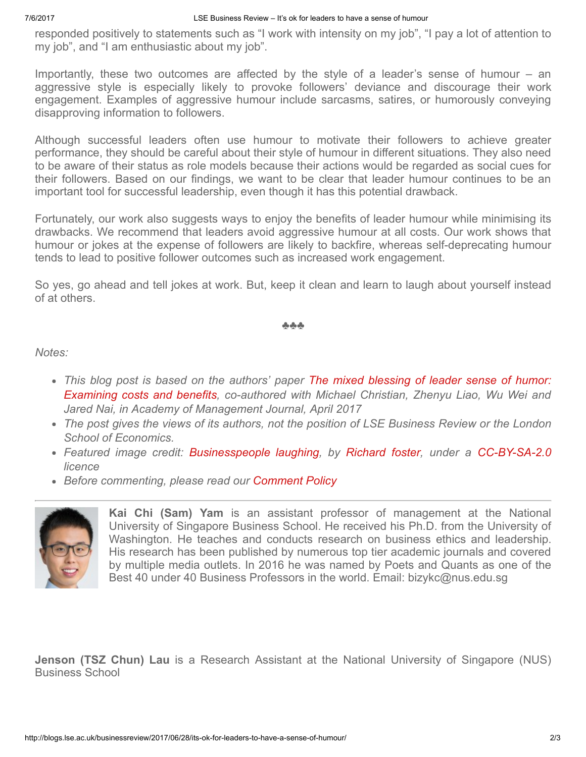responded positively to statements such as "I work with intensity on my job", "I pay a lot of attention to my job", and "I am enthusiastic about my job".

Importantly, these two outcomes are affected by the style of a leader's sense of humour – an aggressive style is especially likely to provoke followers' deviance and discourage their work engagement. Examples of aggressive humour include sarcasms, satires, or humorously conveying disapproving information to followers.

Although successful leaders often use humour to motivate their followers to achieve greater performance, they should be careful about their style of humour in different situations. They also need to be aware of their status as role models because their actions would be regarded as social cues for their followers. Based on our findings, we want to be clear that leader humour continues to be an important tool for successful leadership, even though it has this potential drawback.

Fortunately, our work also suggests ways to enjoy the benefits of leader humour while minimising its drawbacks. We recommend that leaders avoid aggressive humour at all costs. Our work shows that humour or jokes at the expense of followers are likely to backfire, whereas self-deprecating humour tends to lead to positive follower outcomes such as increased work engagement.

So yes, go ahead and tell jokes at work. But, keep it clean and learn to laugh about yourself instead of at others.

## ♣♣♣

Notes:

- This blog post is based on the authors' paper The mixed blessing of leader sense of humor: Examining costs and benefits, [co-authored](http://amj.aom.org/content/early/2017/04/18/amj.2015.1088.abstract) with Michael Christian, Zhenyu Liao, Wu Wei and Jared Nai, in Academy of Management Journal, April 2017
- The post gives the views of its authors, not the position of LSE Business Review or the London School of Economics.
- Featured image credit: [Businesspeople](https://www.flickr.com/photos/93963757@N05/8551937456/) laughing, by [Richard](https://www.flickr.com/photos/93963757@N05/) foster, under a [CC-BY-SA-2.0](https://creativecommons.org/licenses/by-sa/2.0/) licence
- Before commenting, please read our **[Comment](http://blogs.lse.ac.uk/businessreview/comment-policy/) Policy**



Kai Chi (Sam) Yam is an assistant professor of management at the National University of Singapore Business School. He received his Ph.D. from the University of Washington. He teaches and conducts research on business ethics and leadership. His research has been published by numerous top tier academic journals and covered by multiple media outlets. In 2016 he was named by Poets and Quants as one of the Best 40 under 40 Business Professors in the world. Email: bizykc@nus.edu.sg

Jenson (TSZ Chun) Lau is a Research Assistant at the National University of Singapore (NUS) Business School